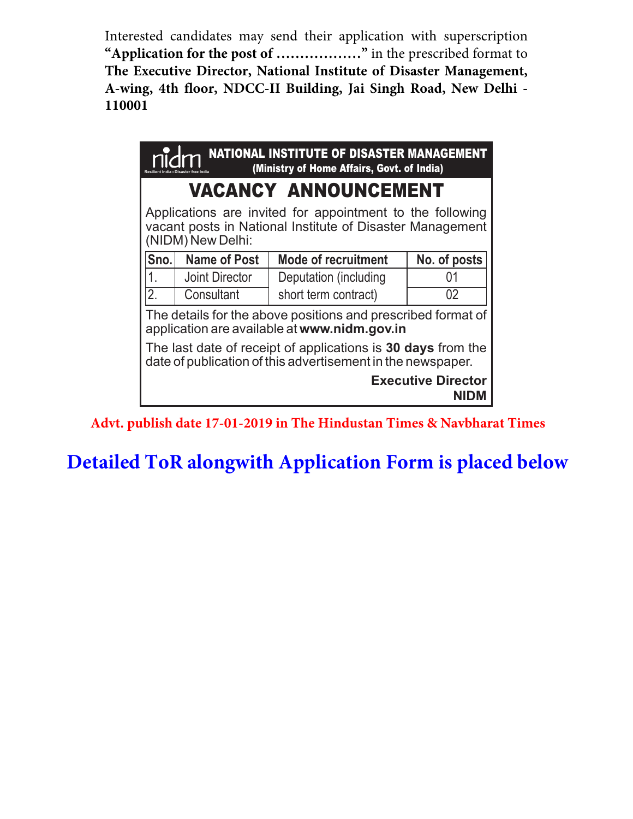Interested candidates may send their application with superscription **"Application for the post of ………………"** in the prescribed format to **The Executive Director, National Institute of Disaster Management, A-wing, 4th floor, NDCC-II Building, Jai Singh Road, New Delhi - 110001**

| <b>NATIONAL INSTITUTE OF DISASTER MANAGEMENT</b><br>(Ministry of Home Affairs, Govt. of India)                                              |                     |                            |              |  |  |  |  |  |
|---------------------------------------------------------------------------------------------------------------------------------------------|---------------------|----------------------------|--------------|--|--|--|--|--|
| <b>VACANCY ANNOUNCEMENT</b>                                                                                                                 |                     |                            |              |  |  |  |  |  |
| Applications are invited for appointment to the following<br>vacant posts in National Institute of Disaster Management<br>(NIDM) New Delhi: |                     |                            |              |  |  |  |  |  |
| Sno.                                                                                                                                        | <b>Name of Post</b> | <b>Mode of recruitment</b> | No. of posts |  |  |  |  |  |
|                                                                                                                                             | Joint Director      | Deputation (including      | ()1          |  |  |  |  |  |
| $\overline{2}$ .                                                                                                                            | Consultant          | short term contract)       | 02           |  |  |  |  |  |
| The details for the above positions and prescribed format of<br>application are available at www.nidm.gov.in                                |                     |                            |              |  |  |  |  |  |
| The last date of receipt of applications is 30 days from the<br>date of publication of this advertisement in the newspaper.                 |                     |                            |              |  |  |  |  |  |
| <b>Executive Director</b>                                                                                                                   |                     |                            |              |  |  |  |  |  |

**Advt. publish date 17-01-2019 in The Hindustan Times & Navbharat Times**

**Detailed ToR alongwith Application Form is placed below**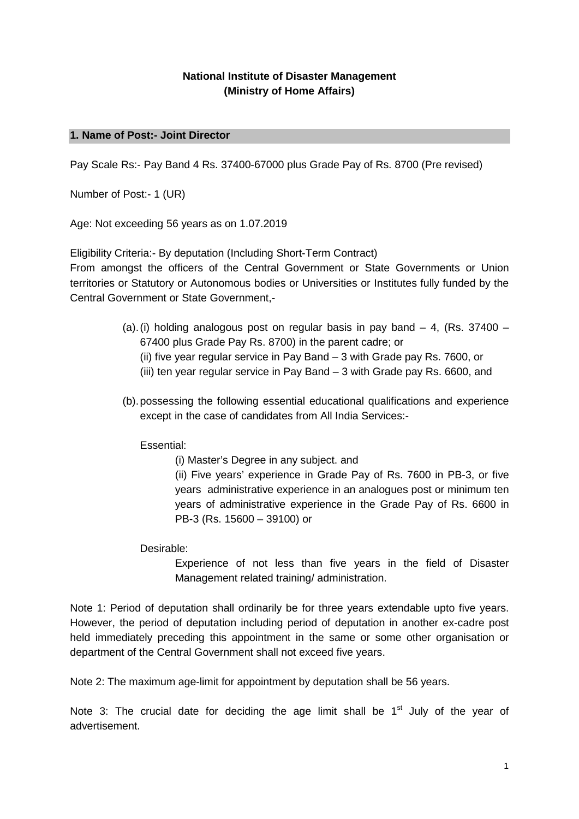## **National Institute of Disaster Management (Ministry of Home Affairs)**

## **1. Name of Post:- Joint Director**

Pay Scale Rs:- Pay Band 4 Rs. 37400-67000 plus Grade Pay of Rs. 8700 (Pre revised)

Number of Post:- 1 (UR)

Age: Not exceeding 56 years as on 1.07.2019

Eligibility Criteria:- By deputation (Including Short-Term Contract)

From amongst the officers of the Central Government or State Governments or Union territories or Statutory or Autonomous bodies or Universities or Institutes fully funded by the Central Government or State Government,-

- (a).(i) holding analogous post on regular basis in pay band  $-4$ , (Rs. 37400 67400 plus Grade Pay Rs. 8700) in the parent cadre; or
	- (ii) five year regular service in Pay Band 3 with Grade pay Rs. 7600, or
	- (iii) ten year regular service in Pay Band 3 with Grade pay Rs. 6600, and
- (b).possessing the following essential educational qualifications and experience except in the case of candidates from All India Services:-

Essential:

(i) Master's Degree in any subject. and

(ii) Five years' experience in Grade Pay of Rs. 7600 in PB-3, or five years administrative experience in an analogues post or minimum ten years of administrative experience in the Grade Pay of Rs. 6600 in PB-3 (Rs. 15600 – 39100) or

Desirable:

Experience of not less than five years in the field of Disaster Management related training/ administration.

Note 1: Period of deputation shall ordinarily be for three years extendable upto five years. However, the period of deputation including period of deputation in another ex-cadre post held immediately preceding this appointment in the same or some other organisation or department of the Central Government shall not exceed five years.

Note 2: The maximum age-limit for appointment by deputation shall be 56 years.

Note 3: The crucial date for deciding the age limit shall be  $1<sup>st</sup>$  July of the year of advertisement.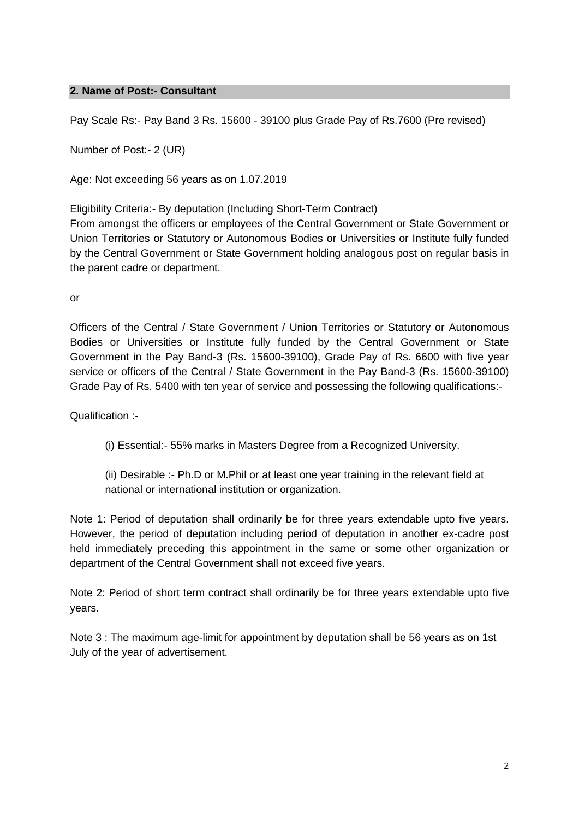## **2. Name of Post:- Consultant**

Pay Scale Rs:- Pay Band 3 Rs. 15600 - 39100 plus Grade Pay of Rs.7600 (Pre revised)

Number of Post:- 2 (UR)

Age: Not exceeding 56 years as on 1.07.2019

Eligibility Criteria:- By deputation (Including Short-Term Contract)

From amongst the officers or employees of the Central Government or State Government or Union Territories or Statutory or Autonomous Bodies or Universities or Institute fully funded by the Central Government or State Government holding analogous post on regular basis in the parent cadre or department.

or

Officers of the Central / State Government / Union Territories or Statutory or Autonomous Bodies or Universities or Institute fully funded by the Central Government or State Government in the Pay Band-3 (Rs. 15600-39100), Grade Pay of Rs. 6600 with five year service or officers of the Central / State Government in the Pay Band-3 (Rs. 15600-39100) Grade Pay of Rs. 5400 with ten year of service and possessing the following qualifications:-

Qualification :-

- (i) Essential:- 55% marks in Masters Degree from a Recognized University.
- (ii) Desirable :- Ph.D or M.Phil or at least one year training in the relevant field at national or international institution or organization.

Note 1: Period of deputation shall ordinarily be for three years extendable upto five years. However, the period of deputation including period of deputation in another ex-cadre post held immediately preceding this appointment in the same or some other organization or department of the Central Government shall not exceed five years.

Note 2: Period of short term contract shall ordinarily be for three years extendable upto five years.

Note 3 : The maximum age-limit for appointment by deputation shall be 56 years as on 1st July of the year of advertisement.